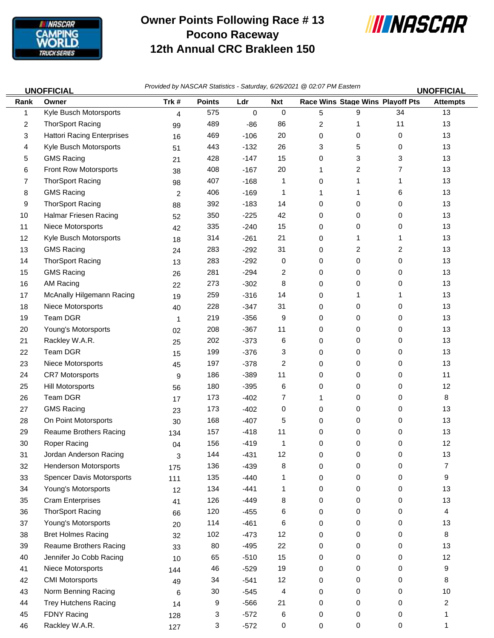

## **Owner Points Following Race # 13 Pocono Raceway 12th Annual CRC Brakleen 150**



*Provided by NASCAR Statistics - Saturday, 6/26/2021 @ 02:07 PM Eastern* **UNOFFICIAL UNOFFICIAL**

| Rank | <u>UNUFFIUIAL</u><br>Owner        | Trk#           | <b>Points</b> | Ldr         | <b>Nxt</b> |   |   | <b>Race Wins Stage Wins Playoff Pts</b> | <u>UNUFFIUIAL</u><br><b>Attempts</b> |
|------|-----------------------------------|----------------|---------------|-------------|------------|---|---|-----------------------------------------|--------------------------------------|
| 1    | Kyle Busch Motorsports            | $\overline{4}$ | 575           | $\mathbf 0$ | 0          | 5 | 9 | 34                                      | 13                                   |
| 2    | <b>ThorSport Racing</b>           | 99             | 489           | -86         | 86         | 2 | 1 | 11                                      | 13                                   |
| 3    | <b>Hattori Racing Enterprises</b> | 16             | 469           | $-106$      | 20         | 0 | 0 | 0                                       | 13                                   |
| 4    | Kyle Busch Motorsports            | 51             | 443           | $-132$      | 26         | 3 | 5 | 0                                       | 13                                   |
| 5    | <b>GMS Racing</b>                 | 21             | 428           | $-147$      | 15         | 0 | 3 | 3                                       | 13                                   |
| 6    | Front Row Motorsports             | 38             | 408           | $-167$      | 20         | 1 | 2 | 7                                       | 13                                   |
| 7    | <b>ThorSport Racing</b>           | 98             | 407           | $-168$      | 1          | 0 | 1 | 1                                       | 13                                   |
| 8    | <b>GMS Racing</b>                 | $\overline{c}$ | 406           | $-169$      | 1          | 1 | 1 | 6                                       | 13                                   |
| 9    | <b>ThorSport Racing</b>           | 88             | 392           | $-183$      | 14         | 0 | 0 | 0                                       | 13                                   |
| 10   | Halmar Friesen Racing             | 52             | 350           | $-225$      | 42         | 0 | 0 | 0                                       | 13                                   |
| 11   | Niece Motorsports                 | 42             | 335           | $-240$      | 15         | 0 | 0 | 0                                       | 13                                   |
| 12   | Kyle Busch Motorsports            | 18             | 314           | $-261$      | 21         | 0 | 1 | 1                                       | 13                                   |
| 13   | <b>GMS Racing</b>                 | 24             | 283           | $-292$      | 31         | 0 | 2 | 2                                       | 13                                   |
| 14   | <b>ThorSport Racing</b>           | 13             | 283           | $-292$      | 0          | 0 | 0 | 0                                       | 13                                   |
| 15   | <b>GMS Racing</b>                 | 26             | 281           | $-294$      | 2          | 0 | 0 | 0                                       | 13                                   |
| 16   | <b>AM Racing</b>                  | 22             | 273           | $-302$      | 8          | 0 | 0 | 0                                       | 13                                   |
| 17   | McAnally Hilgemann Racing         | 19             | 259           | $-316$      | 14         | 0 | 1 | 1                                       | 13                                   |
| 18   | Niece Motorsports                 | 40             | 228           | $-347$      | 31         | 0 | 0 | 0                                       | 13                                   |
| 19   | Team DGR                          | 1              | 219           | $-356$      | 9          | 0 | 0 | 0                                       | 13                                   |
| 20   | Young's Motorsports               | 02             | 208           | $-367$      | 11         | 0 | 0 | 0                                       | 13                                   |
| 21   | Rackley W.A.R.                    | 25             | 202           | $-373$      | 6          | 0 | 0 | 0                                       | 13                                   |
| 22   | Team DGR                          | 15             | 199           | $-376$      | 3          | 0 | 0 | 0                                       | 13                                   |
| 23   | Niece Motorsports                 | 45             | 197           | $-378$      | 2          | 0 | 0 | 0                                       | 13                                   |
| 24   | <b>CR7 Motorsports</b>            | 9              | 186           | $-389$      | 11         | 0 | 0 | 0                                       | 11                                   |
| 25   | <b>Hill Motorsports</b>           | 56             | 180           | $-395$      | 6          | 0 | 0 | 0                                       | 12                                   |
| 26   | Team DGR                          | 17             | 173           | $-402$      | 7          | 1 | 0 | 0                                       | 8                                    |
| 27   | <b>GMS Racing</b>                 | 23             | 173           | $-402$      | 0          | 0 | 0 | 0                                       | 13                                   |
| 28   | On Point Motorsports              | 30             | 168           | $-407$      | 5          | 0 | 0 | 0                                       | 13                                   |
| 29   | <b>Reaume Brothers Racing</b>     | 134            | 157           | $-418$      | 11         | 0 | 0 | 0                                       | 13                                   |
| 30   | Roper Racing                      | 04             | 156           | $-419$      | 1          | 0 | 0 | 0                                       | 12                                   |
| 31   | Jordan Anderson Racing            | 3              | 144           | $-431$      | 12         | 0 | 0 | U                                       | 13                                   |
| 32   | <b>Henderson Motorsports</b>      | 175            | 136           | $-439$      | 8          | 0 | 0 | 0                                       | 7                                    |
| 33   | <b>Spencer Davis Motorsports</b>  | 111            | 135           | $-440$      | 1          | 0 | 0 | 0                                       | 9                                    |
| 34   | Young's Motorsports               | 12             | 134           | $-441$      | 1          | 0 | 0 | 0                                       | 13                                   |
| 35   | <b>Cram Enterprises</b>           | 41             | 126           | $-449$      | 8          | 0 | 0 | 0                                       | 13                                   |
| 36   | <b>ThorSport Racing</b>           | 66             | 120           | $-455$      | 6          | 0 | 0 | 0                                       | 4                                    |
| 37   | Young's Motorsports               | 20             | 114           | $-461$      | 6          | 0 | 0 | 0                                       | 13                                   |
| 38   | <b>Bret Holmes Racing</b>         | 32             | 102           | $-473$      | 12         | 0 | 0 | 0                                       | 8                                    |
| 39   | Reaume Brothers Racing            | 33             | 80            | $-495$      | 22         | 0 | 0 | 0                                       | 13                                   |
| 40   | Jennifer Jo Cobb Racing           | 10             | 65            | $-510$      | 15         | 0 | 0 | 0                                       | 12                                   |
| 41   | Niece Motorsports                 | 144            | 46            | $-529$      | 19         | 0 | 0 | 0                                       | 9                                    |
| 42   | <b>CMI Motorsports</b>            | 49             | 34            | $-541$      | 12         | 0 | 0 | 0                                       | 8                                    |
| 43   | Norm Benning Racing               | 6              | 30            | $-545$      | 4          | 0 | 0 | 0                                       | $10$                                 |
| 44   | <b>Trey Hutchens Racing</b>       | 14             | 9             | $-566$      | 21         | 0 | 0 | 0                                       | 2                                    |
| 45   | FDNY Racing                       | 128            | 3             | $-572$      | 6          | 0 | 0 | 0                                       | 1                                    |
| 46   | Rackley W.A.R.                    | 127            | 3             | $-572$      | 0          | 0 | 0 | 0                                       | 1                                    |